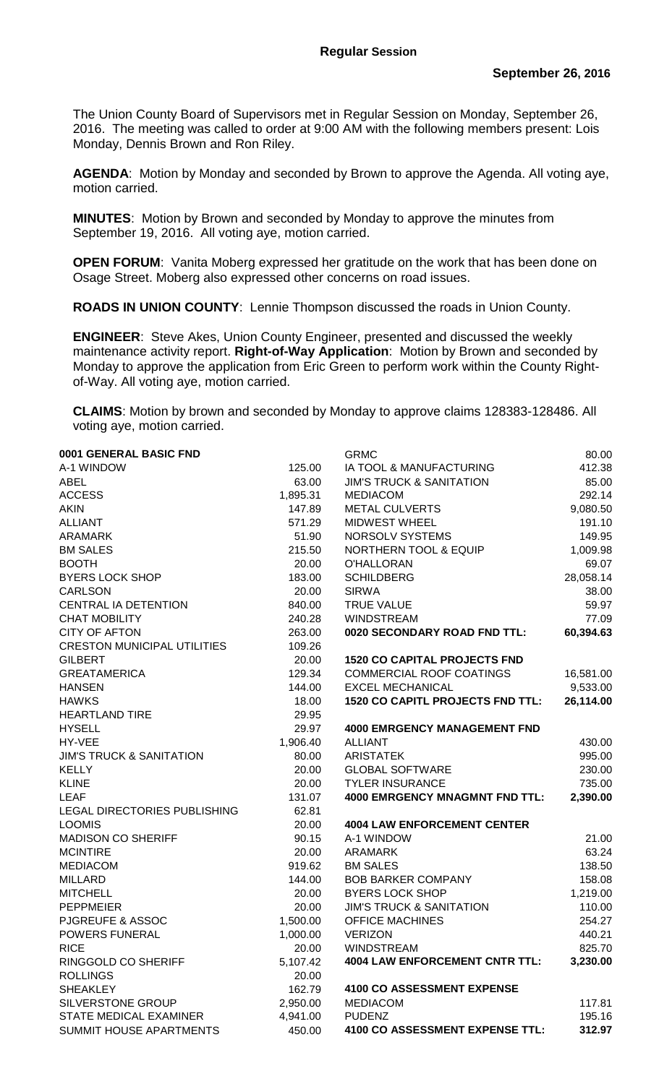The Union County Board of Supervisors met in Regular Session on Monday, September 26, 2016. The meeting was called to order at 9:00 AM with the following members present: Lois Monday, Dennis Brown and Ron Riley.

**AGENDA**: Motion by Monday and seconded by Brown to approve the Agenda. All voting aye, motion carried.

**MINUTES**: Motion by Brown and seconded by Monday to approve the minutes from September 19, 2016. All voting aye, motion carried.

**OPEN FORUM:** Vanita Moberg expressed her gratitude on the work that has been done on Osage Street. Moberg also expressed other concerns on road issues.

**ROADS IN UNION COUNTY**: Lennie Thompson discussed the roads in Union County.

**ENGINEER**: Steve Akes, Union County Engineer, presented and discussed the weekly maintenance activity report. **Right-of-Way Application**: Motion by Brown and seconded by Monday to approve the application from Eric Green to perform work within the County Rightof-Way. All voting aye, motion carried.

**CLAIMS**: Motion by brown and seconded by Monday to approve claims 128383-128486. All voting aye, motion carried.

| 0001 GENERAL BASIC FND              |          | <b>GRMC</b>                             | 80.00     |
|-------------------------------------|----------|-----------------------------------------|-----------|
| A-1 WINDOW                          | 125.00   | IA TOOL & MANUFACTURING                 | 412.38    |
| ABEL                                | 63.00    | <b>JIM'S TRUCK &amp; SANITATION</b>     | 85.00     |
| <b>ACCESS</b>                       | 1,895.31 | <b>MEDIACOM</b>                         | 292.14    |
| <b>AKIN</b>                         | 147.89   | <b>METAL CULVERTS</b>                   | 9,080.50  |
| <b>ALLIANT</b>                      | 571.29   | <b>MIDWEST WHEEL</b>                    | 191.10    |
| <b>ARAMARK</b>                      | 51.90    | NORSOLV SYSTEMS                         | 149.95    |
| <b>BM SALES</b>                     | 215.50   | <b>NORTHERN TOOL &amp; EQUIP</b>        | 1,009.98  |
| <b>BOOTH</b>                        | 20.00    | O'HALLORAN                              | 69.07     |
| <b>BYERS LOCK SHOP</b>              | 183.00   | <b>SCHILDBERG</b>                       | 28,058.14 |
| <b>CARLSON</b>                      | 20.00    | <b>SIRWA</b>                            | 38.00     |
| CENTRAL IA DETENTION                | 840.00   | <b>TRUE VALUE</b>                       | 59.97     |
| <b>CHAT MOBILITY</b>                | 240.28   | <b>WINDSTREAM</b>                       | 77.09     |
| <b>CITY OF AFTON</b>                | 263.00   | 0020 SECONDARY ROAD FND TTL:            | 60,394.63 |
| <b>CRESTON MUNICIPAL UTILITIES</b>  | 109.26   |                                         |           |
| <b>GILBERT</b>                      | 20.00    | <b>1520 CO CAPITAL PROJECTS FND</b>     |           |
| <b>GREATAMERICA</b>                 | 129.34   | <b>COMMERCIAL ROOF COATINGS</b>         | 16,581.00 |
| <b>HANSEN</b>                       | 144.00   | <b>EXCEL MECHANICAL</b>                 | 9,533.00  |
| <b>HAWKS</b>                        | 18.00    | <b>1520 CO CAPITL PROJECTS FND TTL:</b> | 26,114.00 |
| <b>HEARTLAND TIRE</b>               | 29.95    |                                         |           |
| <b>HYSELL</b>                       | 29.97    | <b>4000 EMRGENCY MANAGEMENT FND</b>     |           |
| HY-VEE                              | 1,906.40 | <b>ALLIANT</b>                          | 430.00    |
| <b>JIM'S TRUCK &amp; SANITATION</b> | 80.00    | <b>ARISTATEK</b>                        | 995.00    |
| <b>KELLY</b>                        | 20.00    | <b>GLOBAL SOFTWARE</b>                  | 230.00    |
| <b>KLINE</b>                        | 20.00    | <b>TYLER INSURANCE</b>                  | 735.00    |
| <b>LEAF</b>                         | 131.07   | <b>4000 EMRGENCY MNAGMNT FND TTL:</b>   | 2,390.00  |
| LEGAL DIRECTORIES PUBLISHING        | 62.81    |                                         |           |
| <b>LOOMIS</b>                       | 20.00    | <b>4004 LAW ENFORCEMENT CENTER</b>      |           |
| <b>MADISON CO SHERIFF</b>           | 90.15    | A-1 WINDOW                              | 21.00     |
| <b>MCINTIRE</b>                     | 20.00    | <b>ARAMARK</b>                          | 63.24     |
| <b>MEDIACOM</b>                     | 919.62   | <b>BM SALES</b>                         | 138.50    |
| <b>MILLARD</b>                      | 144.00   | <b>BOB BARKER COMPANY</b>               | 158.08    |
| <b>MITCHELL</b>                     | 20.00    | <b>BYERS LOCK SHOP</b>                  | 1,219.00  |
| <b>PEPPMEIER</b>                    | 20.00    | <b>JIM'S TRUCK &amp; SANITATION</b>     | 110.00    |
| PJGREUFE & ASSOC                    | 1,500.00 | <b>OFFICE MACHINES</b>                  | 254.27    |
| POWERS FUNERAL                      | 1,000.00 | <b>VERIZON</b>                          | 440.21    |
| <b>RICE</b>                         | 20.00    | <b>WINDSTREAM</b>                       | 825.70    |
| RINGGOLD CO SHERIFF                 | 5,107.42 | <b>4004 LAW ENFORCEMENT CNTR TTL:</b>   | 3,230.00  |
| <b>ROLLINGS</b>                     | 20.00    |                                         |           |
| <b>SHEAKLEY</b>                     | 162.79   | <b>4100 CO ASSESSMENT EXPENSE</b>       |           |
| <b>SILVERSTONE GROUP</b>            | 2,950.00 | <b>MEDIACOM</b>                         | 117.81    |
| STATE MEDICAL EXAMINER              | 4,941.00 | <b>PUDENZ</b>                           | 195.16    |
| SUMMIT HOUSE APARTMENTS             | 450.00   | 4100 CO ASSESSMENT EXPENSE TTL:         | 312.97    |